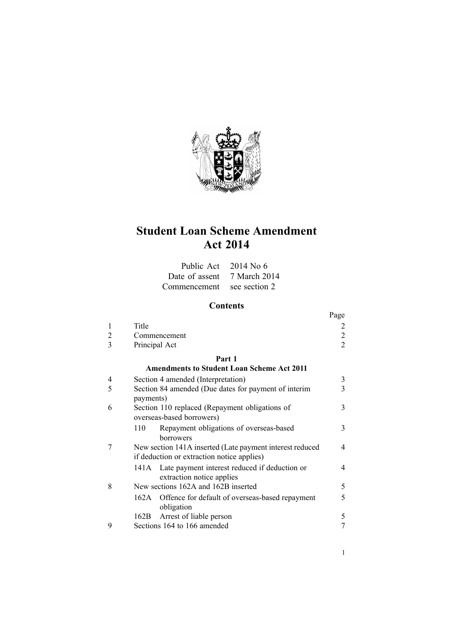

# **Student Loan Scheme Amendment Act 2014**

| Public Act 2014 No 6        |               |
|-----------------------------|---------------|
| Date of assent 7 March 2014 |               |
| Commencement                | see section 2 |

# **Contents**

|                |                                                               | Page           |  |  |
|----------------|---------------------------------------------------------------|----------------|--|--|
| 1              | Title                                                         |                |  |  |
| $\overline{2}$ | Commencement                                                  | 2              |  |  |
| 3              | Principal Act                                                 | $\overline{2}$ |  |  |
| Part 1         |                                                               |                |  |  |
|                | <b>Amendments to Student Loan Scheme Act 2011</b>             |                |  |  |
| 4              | Section 4 amended (Interpretation)                            | 3              |  |  |
| 5              | Section 84 amended (Due dates for payment of interim          | 3              |  |  |
|                | payments)                                                     |                |  |  |
| 6              | Section 110 replaced (Repayment obligations of                | 3              |  |  |
|                | overseas-based borrowers)                                     |                |  |  |
|                | Repayment obligations of overseas-based<br>110                | 3              |  |  |
|                | <b>borrowers</b>                                              |                |  |  |
| 7              | New section 141A inserted (Late payment interest reduced<br>4 |                |  |  |
|                | if deduction or extraction notice applies)                    |                |  |  |
|                | Late payment interest reduced if deduction or<br>141 A        | 4              |  |  |
|                | extraction notice applies                                     |                |  |  |
| 8              | New sections 162A and 162B inserted                           | 5              |  |  |
|                | 162A<br>Offence for default of overseas-based repayment       | 5              |  |  |
|                | obligation                                                    |                |  |  |
|                | Arrest of liable person<br>162B                               | 5              |  |  |
| 9              | Sections 164 to 166 amended                                   |                |  |  |

1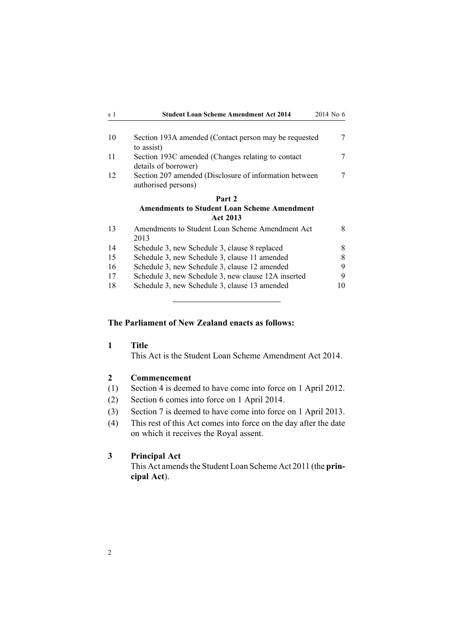<span id="page-1-0"></span>

| s 1 | <b>Student Loan Scheme Amendment Act 2014</b>                                 | 2014 No 6 |
|-----|-------------------------------------------------------------------------------|-----------|
| 10  | Section 193A amended (Contact person may be requested<br>to assist)           | 7         |
| 11  | Section 193C amended (Changes relating to contact<br>details of borrower)     | 7         |
| 12  | Section 207 amended (Disclosure of information between<br>authorised persons) | 7         |
|     | Part 2                                                                        |           |
|     | <b>Amendments to Student Loan Scheme Amendment</b><br><b>Act 2013</b>         |           |
| 13  | Amendments to Student Loan Scheme Amendment Act<br>2013                       | 8         |
| 14  | Schedule 3, new Schedule 3, clause 8 replaced                                 | 8         |
| 15  | Schedule 3, new Schedule 3, clause 11 amended                                 | 8         |
| 16  | Schedule 3, new Schedule 3, clause 12 amended                                 | 9         |
| 17  | Schedule 3, new Schedule 3, new clause 12A inserted                           | 9         |
| 18  | Schedule 3, new Schedule 3, clause 13 amended                                 | 10        |

### **The Parliament of New Zealand enacts as follows:**

**1 Title**

This Act is the Student Loan Scheme Amendment Act 2014.

### **2 Commencement**

- (1) [Section](#page-2-0) 4 is deemed to have come into force on 1 April 2012.
- (2) [Section](#page-2-0) 6 comes into force on 1 April 2014.
- (3) [Section](#page-3-0) 7 is deemed to have come into force on 1 April 2013.
- (4) This rest of this Act comes into force on the day after the date on which it receives the Royal assent.

# **3 Principal Act**

This Act amends the Student Loan [Scheme](http://www.legislation.govt.nz/pdflink.aspx?id=DLM3179903) Act 2011 (the prin**cipal Act**).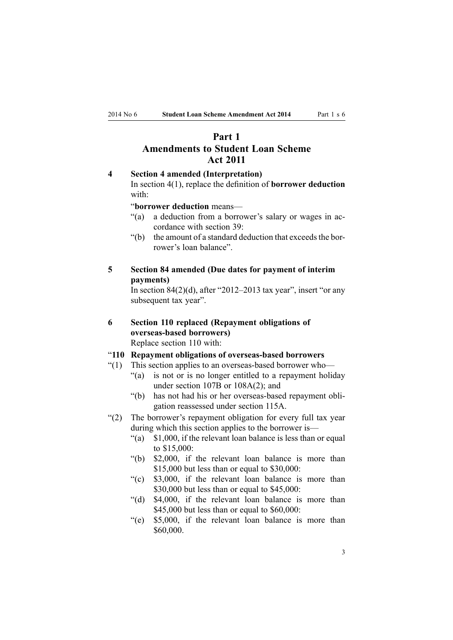# <span id="page-2-0"></span>**Part 1 Amendments to Student Loan Scheme Act 2011**

### **4 Section 4 amended (Interpretation)**

In [section](http://www.legislation.govt.nz/pdflink.aspx?id=DLM3179936) 4(1), replace the definition of **borrower deduction** with:

### "**borrower deduction** means—

- "(a) <sup>a</sup> deduction from <sup>a</sup> borrower's salary or wages in accordance with section 39:
- $"$ (b) the amount of a standard deduction that exceeds the borrower's loan balance".

# **5 Section 84 amended (Due dates for payment of interim payments)**

In section  $84(2)(d)$ , after "2012–2013 tax year", insert "or any subsequent tax year".

**6 Section 110 replaced (Repayment obligations of overseas-based borrowers)** Replace [section](http://www.legislation.govt.nz/pdflink.aspx?id=DLM3180250) 110 with:

### "**110 Repayment obligations of overseas-based borrowers**

- "(1) This section applies to an overseas-based borrower who—
	- "(a) is not or is no longer entitled to <sup>a</sup> repaymen<sup>t</sup> holiday under section 107B or 108A(2); and
	- "(b) has not had his or her overseas-based repaymen<sup>t</sup> obligation reassessed under section 115A.
- "(2) The borrower's repaymen<sup>t</sup> obligation for every full tax year during which this section applies to the borrower is—
	- "(a) \$1,000, if the relevant loan balance is less than or equal to \$15,000:
	- "(b) \$2,000, if the relevant loan balance is more than \$15,000 but less than or equal to \$30,000:
	- "(c) \$3,000, if the relevant loan balance is more than \$30,000 but less than or equal to \$45,000:
	- "(d) \$4,000, if the relevant loan balance is more than \$45,000 but less than or equal to \$60,000:
	- "(e) \$5,000, if the relevant loan balance is more than \$60,000.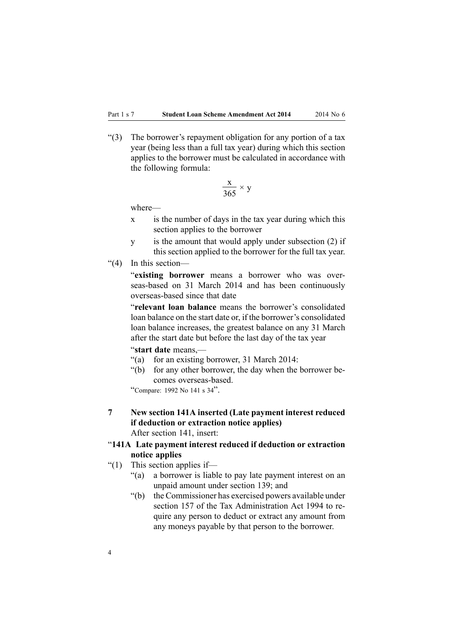<span id="page-3-0"></span>"(3) The borrower's repaymen<sup>t</sup> obligation for any portion of <sup>a</sup> tax year (being less than <sup>a</sup> full tax year) during which this section applies to the borrower must be calculated in accordance with the following formula:

$$
\frac{x}{365} \times y
$$

where—

- <sup>x</sup> is the number of days in the tax year during which this section applies to the borrower
- y is the amount that would apply under subsection (2) if this section applied to the borrower for the full tax year.
- "(4) In this section—

"**existing borrower** means <sup>a</sup> borrower who was overseas-based on 31 March 2014 and has been continuously overseas-based since that date

"**relevant loan balance** means the borrower's consolidated loan balance on the start date or, if the borrower's consolidated loan balance increases, the greatest balance on any 31 March after the start date but before the last day of the tax year

"**start date** means,—

- "(a) for an existing borrower, 31 March 2014:
- "(b) for any other borrower, the day when the borrower becomes overseas-based.

"Compare: <sup>1992</sup> No <sup>141</sup> <sup>s</sup> <sup>34</sup>".

**7 New section 141A inserted (Late payment interest reduced if deduction or extraction notice applies)** After [section](http://www.legislation.govt.nz/pdflink.aspx?id=DLM3885567) 141, insert:

# "**141A Late payment interest reduced if deduction or extraction notice applies**

- "(1) This section applies if-
	- "(a) <sup>a</sup> borrower is liable to pay late paymen<sup>t</sup> interest on an unpaid amount under section 139; and
	- "(b) the Commissioner has exercised powers available under section 157 of the Tax Administration Act 1994 to require any person to deduct or extract any amount from any moneys payable by that person to the borrower.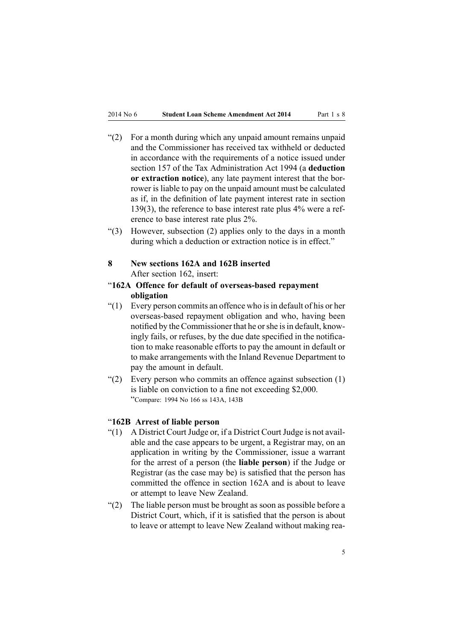- <span id="page-4-0"></span>"(2) For <sup>a</sup> month during which any unpaid amount remains unpaid and the Commissioner has received tax withheld or deducted in accordance with the requirements of <sup>a</sup> notice issued under section 157 of the Tax Administration Act 1994 (a **deduction or extraction notice**), any late paymen<sup>t</sup> interest that the borrower is liable to pay on the unpaid amount must be calculated as if, in the definition of late paymen<sup>t</sup> interest rate in section 139(3), the reference to base interest rate plus 4% were <sup>a</sup> reference to base interest rate plus 2%.
- "(3) However, subsection (2) applies only to the days in <sup>a</sup> month during which <sup>a</sup> deduction or extraction notice is in effect."
- **8 New sections 162A and 162B inserted** After [section](http://www.legislation.govt.nz/pdflink.aspx?id=DLM3180349) 162, insert:
- "**162A Offence for default of overseas-based repayment obligation**
- "(1) Every person commits an offence who is in default of his or her overseas-based repaymen<sup>t</sup> obligation and who, having been notified by the Commissioner that he or she is in default, knowingly fails, or refuses, by the due date specified in the notification to make reasonable efforts to pay the amount in default or to make arrangements with the Inland Revenue Department to pay the amount in default.
- " $(2)$  Every person who commits an offence against subsection  $(1)$ is liable on conviction to <sup>a</sup> fine not exceeding \$2,000. "Compare: <sup>1994</sup> No <sup>166</sup> ss 143A, 143B

### "**162B Arrest of liable person**

- "(1) A District Court Judge or, if a District Court Judge is not available and the case appears to be urgent, <sup>a</sup> Registrar may, on an application in writing by the Commissioner, issue <sup>a</sup> warrant for the arrest of <sup>a</sup> person (the **liable person**) if the Judge or Registrar (as the case may be) is satisfied that the person has committed the offence in section 162A and is about to leave or attempt to leave New Zealand.
- "(2) The liable person must be brought as soon as possible before <sup>a</sup> District Court, which, if it is satisfied that the person is about to leave or attempt to leave New Zealand without making rea-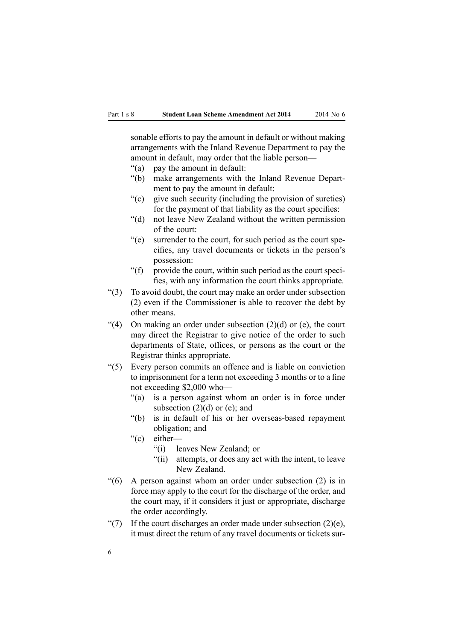sonable efforts to pay the amount in default or without making arrangements with the Inland Revenue Department to pay the amount in default, may order that the liable person—

- "(a) pay the amount in default:
- "(b) make arrangements with the Inland Revenue Department to pay the amount in default:
- "(c) give such security (including the provision of sureties) for the paymen<sup>t</sup> of that liability as the court specifies:
- "(d) not leave New Zealand without the written permission of the court:
- "(e) surrender to the court, for such period as the court specifies, any travel documents or tickets in the person's possession:
- "(f) provide the court, within such period as the court specifies, with any information the court thinks appropriate.
- "(3) To avoid doubt, the court may make an order under subsection (2) even if the Commissioner is able to recover the debt by other means.
- "(4) On making an order under subsection  $(2)(d)$  or (e), the court may direct the Registrar to give notice of the order to such departments of State, offices, or persons as the court or the Registrar thinks appropriate.
- "(5) Every person commits an offence and is liable on conviction to imprisonment for <sup>a</sup> term not exceeding 3 months or to <sup>a</sup> fine not exceeding \$2,000 who—
	- "(a) is <sup>a</sup> person against whom an order is in force under subsection  $(2)(d)$  or  $(e)$ ; and
	- "(b) is in default of his or her overseas-based repaymen<sup>t</sup> obligation; and
	- "(c) either—
		- "(i) leaves New Zealand; or
		- "(ii) attempts, or does any act with the intent, to leave New Zealand.
- "(6) A person against whom an order under subsection (2) is in force may apply to the court for the discharge of the order, and the court may, if it considers it just or appropriate, discharge the order accordingly.
- "(7) If the court discharges an order made under subsection  $(2)(e)$ , it must direct the return of any travel documents or tickets sur-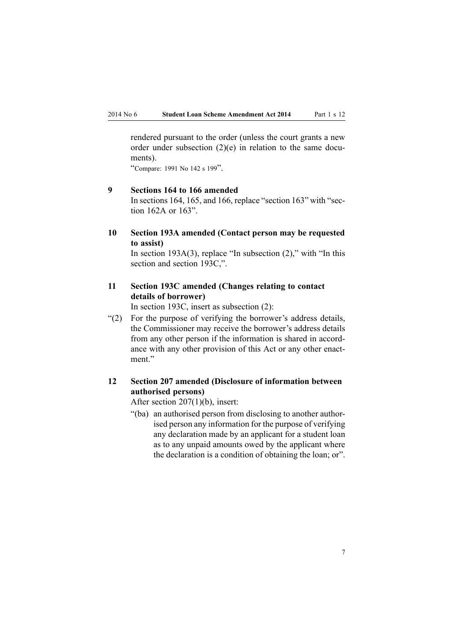<span id="page-6-0"></span>rendered pursuan<sup>t</sup> to the order (unless the court grants <sup>a</sup> new order under subsection (2)(e) in relation to the same documents).

"Compare: <sup>1991</sup> No <sup>142</sup> <sup>s</sup> <sup>199</sup>".

# **9 Sections 164 to 166 amended**

In [sections](http://www.legislation.govt.nz/pdflink.aspx?id=DLM3180351) 164, [165](http://www.legislation.govt.nz/pdflink.aspx?id=DLM3180352), and [166](http://www.legislation.govt.nz/pdflink.aspx?id=DLM3180353), replace "section 163" with "section 162A or 163".

**10 Section 193A amended (Contact person may be requested to assist)**

In section [193A\(3\)](http://www.legislation.govt.nz/pdflink.aspx?id=DLM4428926), replace "In subsection  $(2)$ ," with "In this section and section 193C,".

# **11 Section 193C amended (Changes relating to contact details of borrower)**

In [section](http://www.legislation.govt.nz/pdflink.aspx?id=DLM5135888) 193C, insert as subsection (2):

"(2) For the purpose of verifying the borrower's address details, the Commissioner may receive the borrower's address details from any other person if the information is shared in accordance with any other provision of this Act or any other enactment."

# **12 Section 207 amended (Disclosure of information between authorised persons)**

After section [207\(1\)\(b\)](http://www.legislation.govt.nz/pdflink.aspx?id=DLM3180418), insert:

"(ba) an authorised person from disclosing to another authorised person any information for the purpose of verifying any declaration made by an applicant for <sup>a</sup> student loan as to any unpaid amounts owed by the applicant where the declaration is <sup>a</sup> condition of obtaining the loan; or".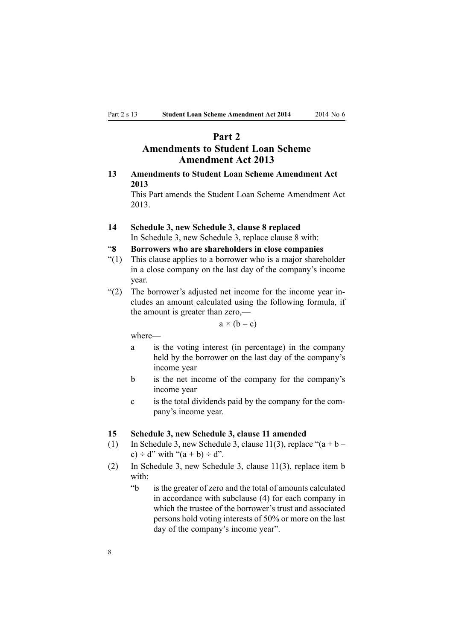# **Part 2**

# **Amendments to Student Loan Scheme Amendment Act 2013**

# <span id="page-7-0"></span>**13 Amendments to Student Loan Scheme Amendment Act 2013**

This Part amends the Student Loan Scheme [Amendment](http://www.legislation.govt.nz/pdflink.aspx?id=DLM4682901) Act [2013](http://www.legislation.govt.nz/pdflink.aspx?id=DLM4682901).

**14 Schedule 3, new Schedule 3, clause 8 replaced** In [Schedule](http://www.legislation.govt.nz/pdflink.aspx?id=DLM4683085) 3, new Schedule 3, replace clause 8 with:

# "**8 Borrowers who are shareholders in close companies**

- "(1) This clause applies to <sup>a</sup> borrower who is <sup>a</sup> major shareholder in <sup>a</sup> close company on the last day of the company's income year.
- "(2) The borrower's adjusted net income for the income year includes an amount calculated using the following formula, if the amount is greater than zero,—

 $a \times (b - c)$ 

where—

- <sup>a</sup> is the voting interest (in percentage) in the company held by the borrower on the last day of the company's income year
- b is the net income of the company for the company's income year
- <sup>c</sup> is the total dividends paid by the company for the company's income year.

#### **15 Schedule 3, new Schedule 3, clause 11 amended**

- (1) In [Schedule](http://www.legislation.govt.nz/pdflink.aspx?id=DLM4683085) 3, new Schedule 3, clause 11(3), replace " $(a + b$ c) ÷ d" with " $(a + b) \div d$ ".
- (2) In [Schedule](http://www.legislation.govt.nz/pdflink.aspx?id=DLM4683085) 3, new Schedule 3, clause 11(3), replace item b with:
	- "b is the greater of zero and the total of amounts calculated in accordance with subclause (4) for each company in which the trustee of the borrower's trust and associated persons hold voting interests of 50% or more on the last day of the company's income year".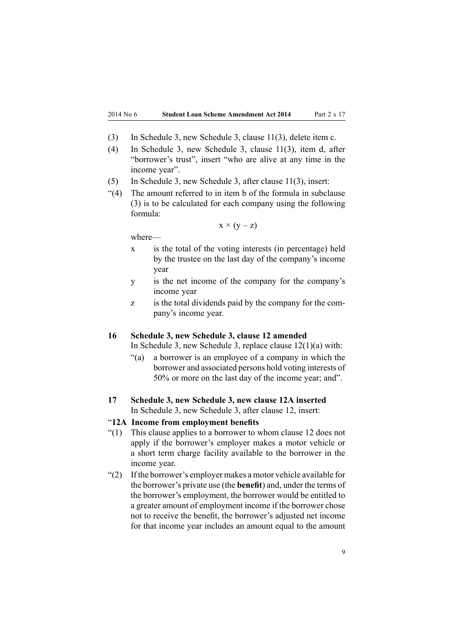- <span id="page-8-0"></span>(3) In [Schedule](http://www.legislation.govt.nz/pdflink.aspx?id=DLM4683085) 3, new Schedule 3, clause 11(3), delete item c.
- (4) In [Schedule](http://www.legislation.govt.nz/pdflink.aspx?id=DLM4683085) 3, new Schedule 3, clause 11(3), item d, after "borrower's trust", insert "who are alive at any time in the income year".
- (5) In [Schedule](http://www.legislation.govt.nz/pdflink.aspx?id=DLM4683085) 3, new Schedule 3, after clause 11(3), insert:
- "(4) The amount referred to in item b of the formula in subclause (3) is to be calculated for each company using the following formula:

$$
x \times (y - z)
$$

where—

- <sup>x</sup> is the total of the voting interests (in percentage) held by the trustee on the last day of the company's income year
- y is the net income of the company for the company's income year
- <sup>z</sup> is the total dividends paid by the company for the company's income year.

#### **16 Schedule 3, new Schedule 3, clause 12 amended**

In [Schedule](http://www.legislation.govt.nz/pdflink.aspx?id=DLM4683085) 3, new Schedule 3, replace clause 12(1)(a) with:

- "(a) <sup>a</sup> borrower is an employee of <sup>a</sup> company in which the borrower and associated persons hold voting interests of 50% or more on the last day of the income year; and".
- **17 Schedule 3, new Schedule 3, new clause 12A inserted** In [Schedule](http://www.legislation.govt.nz/pdflink.aspx?id=DLM4683085) 3, new Schedule 3, after clause 12, insert:

### "**12A Income from employment benefits**

- "(1) This clause applies to <sup>a</sup> borrower to whom clause 12 does not apply if the borrower's employer makes <sup>a</sup> motor vehicle or <sup>a</sup> short term charge facility available to the borrower in the income year.
- "(2) If the borrower's employer makes <sup>a</sup> motor vehicle available for the borrower's private use (the **benefit**) and, under the terms of the borrower's employment, the borrower would be entitled to <sup>a</sup> greater amount of employment income if the borrower chose not to receive the benefit, the borrower's adjusted net income for that income year includes an amount equal to the amount